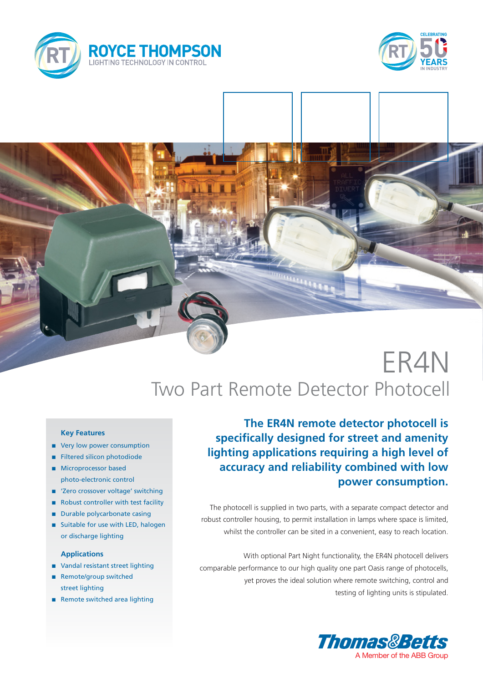





# ER4N Two Part Remote Detector Photocell

#### **Key Features**

- very low power consumption
- **n** Filtered silicon photodiode
- **n** Microprocessor based photo-electronic control
- 'Zero crossover voltage' switching
- Robust controller with test facility
- $\blacksquare$  Durable polycarbonate casing
- Suitable for use with LED, halogen or discharge lighting

### **Applications**

- Vandal resistant street lighting
- Remote/group switched street lighting
- n Remote switched area lighting

**The ER4N remote detector photocell is specifically designed for street and amenity lighting applications requiring a high level of accuracy and reliability combined with low power consumption.**

The photocell is supplied in two parts, with a separate compact detector and robust controller housing, to permit installation in lamps where space is limited, whilst the controller can be sited in a convenient, easy to reach location.

With optional Part Night functionality, the ER4N photocell delivers comparable performance to our high quality one part Oasis range of photocells, yet proves the ideal solution where remote switching, control and testing of lighting units is stipulated.